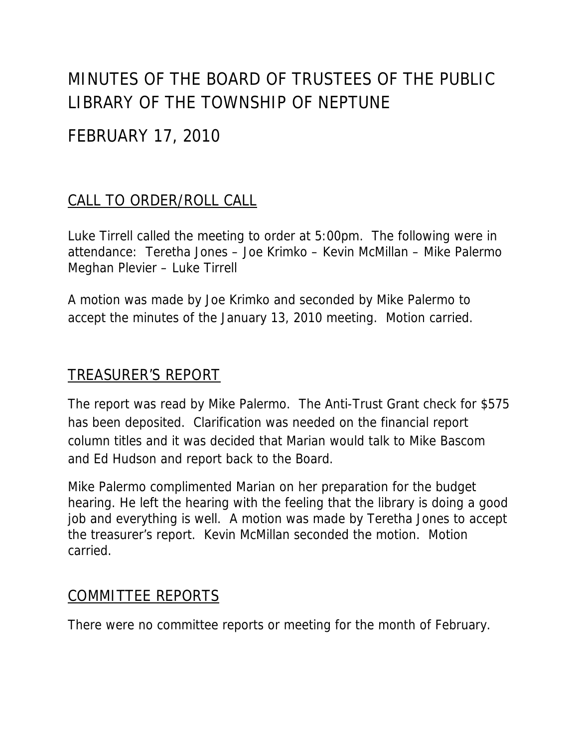# MINUTES OF THE BOARD OF TRUSTEES OF THE PUBLIC LIBRARY OF THE TOWNSHIP OF NEPTUNE

## FEBRUARY 17, 2010

## CALL TO ORDER/ROLL CALL

Luke Tirrell called the meeting to order at 5:00pm. The following were in attendance: Teretha Jones – Joe Krimko – Kevin McMillan – Mike Palermo Meghan Plevier – Luke Tirrell

A motion was made by Joe Krimko and seconded by Mike Palermo to accept the minutes of the January 13, 2010 meeting. Motion carried.

### TREASURER'S REPORT

The report was read by Mike Palermo. The Anti-Trust Grant check for \$575 has been deposited. Clarification was needed on the financial report column titles and it was decided that Marian would talk to Mike Bascom and Ed Hudson and report back to the Board.

Mike Palermo complimented Marian on her preparation for the budget hearing. He left the hearing with the feeling that the library is doing a good job and everything is well. A motion was made by Teretha Jones to accept the treasurer's report. Kevin McMillan seconded the motion. Motion carried.

#### COMMITTEE REPORTS

There were no committee reports or meeting for the month of February.